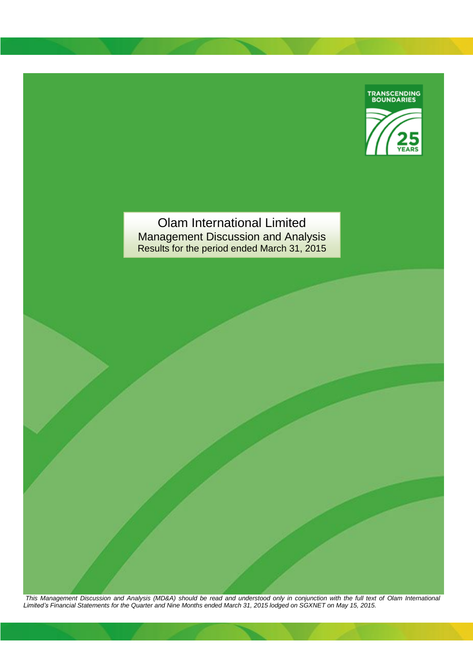

Olam International Limited Management Discussion and Analysis Results for the period ended March 31, 2015

*This Management Discussion and Analysis (MD&A) should be read and understood only in conjunction with the full text of Olam International Limited's Financial Statements for the Quarter and Nine Months ended March 31, 2015 lodged on SGXNET on May 15, 2015.*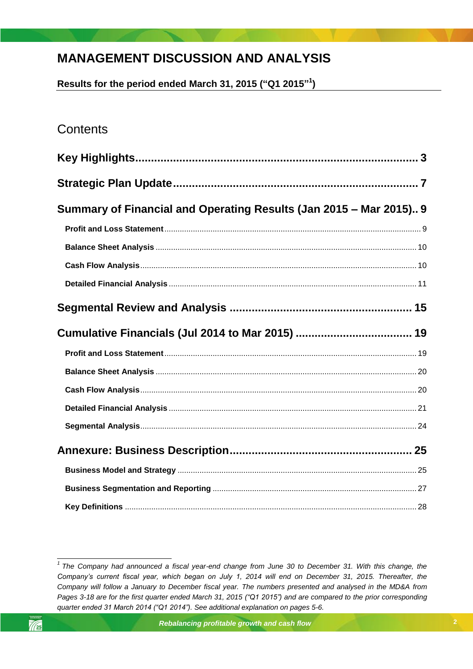# **MANAGEMENT DISCUSSION AND ANALYSIS**

**Results for the period ended March 31, 2015 ("Q1 2015" 1 )**

# **Contents**

| Summary of Financial and Operating Results (Jan 2015 - Mar 2015) 9 |  |
|--------------------------------------------------------------------|--|
|                                                                    |  |
|                                                                    |  |
|                                                                    |  |
|                                                                    |  |
|                                                                    |  |
|                                                                    |  |
|                                                                    |  |
|                                                                    |  |
|                                                                    |  |
|                                                                    |  |
|                                                                    |  |
|                                                                    |  |
|                                                                    |  |
|                                                                    |  |
|                                                                    |  |

 *1 The Company had announced a fiscal year-end change from June 30 to December 31. With this change, the Company's current fiscal year, which began on July 1, 2014 will end on December 31, 2015. Thereafter, the Company will follow a January to December fiscal year. The numbers presented and analysed in the MD&A from Pages 3-18 are for the first quarter ended March 31, 2015 ("Q1 2015") and are compared to the prior corresponding quarter ended 31 March 2014 ("Q1 2014"). See additional explanation on pages 5-6.*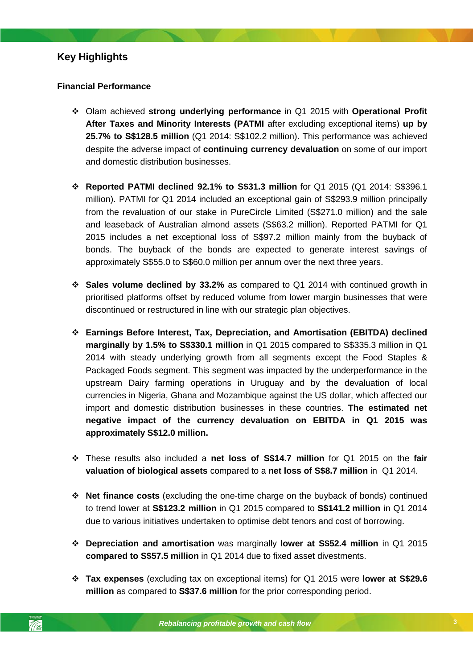## <span id="page-2-0"></span>**Key Highlights**

### **Financial Performance**

- Olam achieved **strong underlying performance** in Q1 2015 with **Operational Profit After Taxes and Minority Interests (PATMI** after excluding exceptional items) **up by 25.7% to S\$128.5 million** (Q1 2014: S\$102.2 million). This performance was achieved despite the adverse impact of **continuing currency devaluation** on some of our import and domestic distribution businesses.
- **Reported PATMI declined 92.1% to S\$31.3 million** for Q1 2015 (Q1 2014: S\$396.1 million). PATMI for Q1 2014 included an exceptional gain of S\$293.9 million principally from the revaluation of our stake in PureCircle Limited (S\$271.0 million) and the sale and leaseback of Australian almond assets (S\$63.2 million). Reported PATMI for Q1 2015 includes a net exceptional loss of S\$97.2 million mainly from the buyback of bonds. The buyback of the bonds are expected to generate interest savings of approximately S\$55.0 to S\$60.0 million per annum over the next three years.
- **Sales volume declined by 33.2%** as compared to Q1 2014 with continued growth in prioritised platforms offset by reduced volume from lower margin businesses that were discontinued or restructured in line with our strategic plan objectives.
- Packaged Foods segment. This segment was impacted by the underperformance in the **Earnings Before Interest, Tax, Depreciation, and Amortisation (EBITDA) declined marginally by 1.5% to S\$330.1 million** in Q1 2015 compared to S\$335.3 million in Q1 2014 with steady underlying growth from all segments except the Food Staples & upstream Dairy farming operations in Uruguay and by the devaluation of local currencies in Nigeria, Ghana and Mozambique against the US dollar, which affected our import and domestic distribution businesses in these countries. **The estimated net negative impact of the currency devaluation on EBITDA in Q1 2015 was approximately S\$12.0 million.**
- These results also included a **net loss of S\$14.7 million** for Q1 2015 on the **fair valuation of biological assets** compared to a **net loss of S\$8.7 million** in Q1 2014.
- **Net finance costs** (excluding the one-time charge on the buyback of bonds) continued to trend lower at **S\$123.2 million** in Q1 2015 compared to **S\$141.2 million** in Q1 2014 due to various initiatives undertaken to optimise debt tenors and cost of borrowing.
- **Depreciation and amortisation** was marginally **lower at S\$52.4 million** in Q1 2015 **compared to S\$57.5 million** in Q1 2014 due to fixed asset divestments.
- **Tax expenses** (excluding tax on exceptional items) for Q1 2015 were **lower at S\$29.6 million** as compared to **S\$37.6 million** for the prior corresponding period.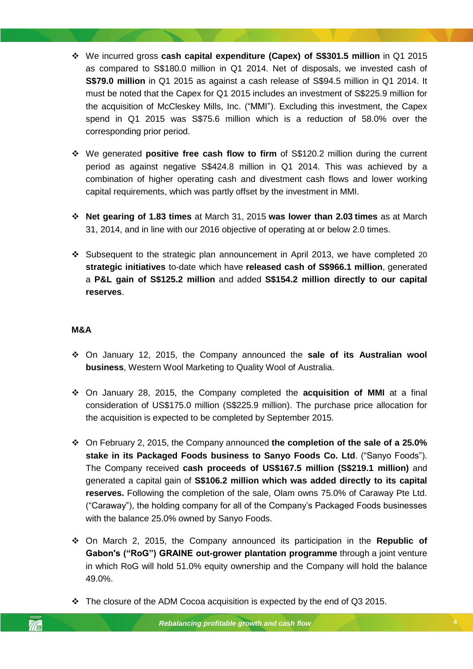- We incurred gross **cash capital expenditure (Capex) of S\$301.5 million** in Q1 2015 as compared to S\$180.0 million in Q1 2014. Net of disposals, we invested cash of **S\$79.0 million** in Q1 2015 as against a cash release of S\$94.5 million in Q1 2014. It must be noted that the Capex for Q1 2015 includes an investment of S\$225.9 million for the acquisition of McCleskey Mills, Inc. ("MMI"). Excluding this investment, the Capex spend in Q1 2015 was S\$75.6 million which is a reduction of 58.0% over the corresponding prior period.
- We generated **positive free cash flow to firm** of S\$120.2 million during the current period as against negative S\$424.8 million in Q1 2014. This was achieved by a combination of higher operating cash and divestment cash flows and lower working capital requirements, which was partly offset by the investment in MMI.
- **Net gearing of 1.83 times** at March 31, 2015 **was lower than 2.03 times** as at March 31, 2014, and in line with our 2016 objective of operating at or below 2.0 times.
- Subsequent to the strategic plan announcement in April 2013, we have completed 20 **strategic initiatives** to-date which have **released cash of S\$966.1 million**, generated a **P&L gain of S\$125.2 million** and added **S\$154.2 million directly to our capital reserves**.

### **M&A**

- **business**, Western Wool Marketing to Quality Wool of Australia. On January 12, 2015, the Company announced the **sale of its Australian wool**
- On January 28, 2015, the Company completed the **acquisition of MMI** at a final consideration of US\$175.0 million (S\$225.9 million). The purchase price allocation for the acquisition is expected to be completed by September 2015.
- On February 2, 2015, the Company announced **the completion of the sale of a 25.0% stake in its Packaged Foods business to Sanyo Foods Co. Ltd**. ("Sanyo Foods"). The Company received **cash proceeds of US\$167.5 million (S\$219.1 million)** and generated a capital gain of **S\$106.2 million which was added directly to its capital reserves.** Following the completion of the sale, Olam owns 75.0% of Caraway Pte Ltd. ("Caraway"), the holding company for all of the Company's Packaged Foods businesses with the balance 25.0% owned by Sanyo Foods.
- On March 2, 2015, the Company announced its participation in the **Republic of Gabon's ("RoG") GRAINE out-grower plantation programme** through a joint venture in which RoG will hold 51.0% equity ownership and the Company will hold the balance 49.0%.
- $\cdot \cdot$  The closure of the ADM Cocoa acquisition is expected by the end of Q3 2015.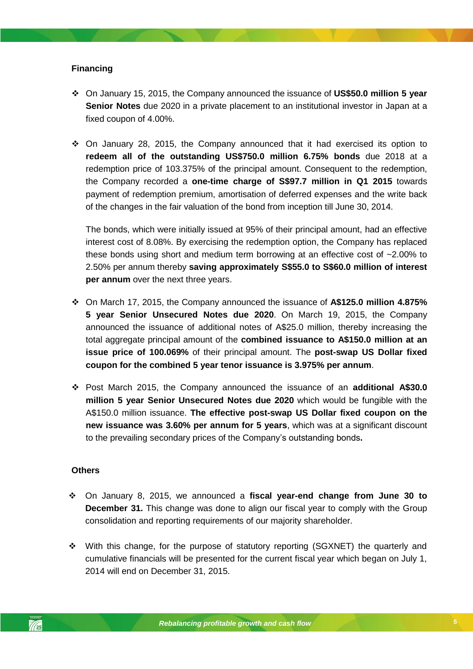### **Financing**

- On January 15, 2015, the Company announced the issuance of **US\$50.0 million 5 year Senior Notes** due 2020 in a private placement to an institutional investor in Japan at a fixed coupon of 4.00%.
- $\div$  On January 28, 2015, the Company announced that it had exercised its option to **redeem all of the outstanding US\$750.0 million 6.75% bonds** due 2018 at a redemption price of 103.375% of the principal amount. Consequent to the redemption, the Company recorded a **one-time charge of S\$97.7 million in Q1 2015** towards payment of redemption premium, amortisation of deferred expenses and the write back of the changes in the fair valuation of the bond from inception till June 30, 2014.

The bonds, which were initially issued at 95% of their principal amount, had an effective interest cost of 8.08%. By exercising the redemption option, the Company has replaced these bonds using short and medium term borrowing at an effective cost of ~2.00% to 2.50% per annum thereby **saving approximately S\$55.0 to S\$60.0 million of interest per annum** over the next three years.

- *Rebalancing profitable growth and cash flow* **coupon for the combined 5 year tenor issuance is 3.975% per annum**. On March 17, 2015, the Company announced the issuance of **A\$125.0 million 4.875% 5 year Senior Unsecured Notes due 2020**. On March 19, 2015, the Company announced the issuance of additional notes of A\$25.0 million, thereby increasing the total aggregate principal amount of the **combined issuance to A\$150.0 million at an issue price of 100.069%** of their principal amount. The **post-swap US Dollar fixed**
- Post March 2015, the Company announced the issuance of an **additional A\$30.0 million 5 year Senior Unsecured Notes due 2020** which would be fungible with the A\$150.0 million issuance. **The effective post-swap US Dollar fixed coupon on the new issuance was 3.60% per annum for 5 years**, which was at a significant discount to the prevailing secondary prices of the Company's outstanding bonds**.**

### **Others**

- On January 8, 2015, we announced a **fiscal year-end change from June 30 to December 31.** This change was done to align our fiscal year to comply with the Group consolidation and reporting requirements of our majority shareholder.
- $\div$  With this change, for the purpose of statutory reporting (SGXNET) the quarterly and cumulative financials will be presented for the current fiscal year which began on July 1, 2014 will end on December 31, 2015.

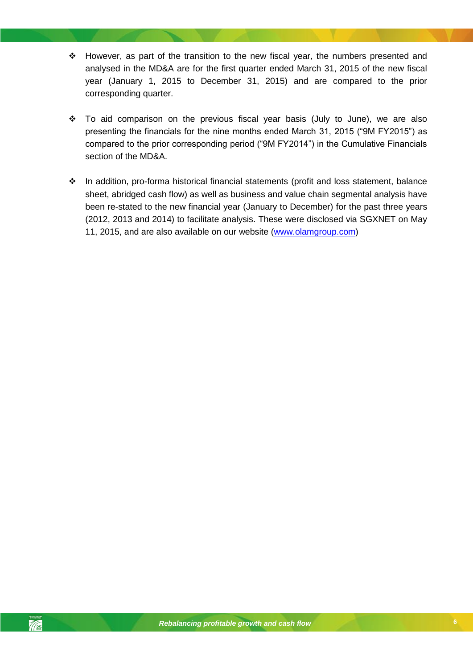- However, as part of the transition to the new fiscal year, the numbers presented and analysed in the MD&A are for the first quarter ended March 31, 2015 of the new fiscal year (January 1, 2015 to December 31, 2015) and are compared to the prior corresponding quarter.
- \* To aid comparison on the previous fiscal year basis (July to June), we are also presenting the financials for the nine months ended March 31, 2015 ("9M FY2015") as compared to the prior corresponding period ("9M FY2014") in the Cumulative Financials section of the MD&A.
- \* In addition, pro-forma historical financial statements (profit and loss statement, balance sheet, abridged cash flow) as well as business and value chain segmental analysis have been re-stated to the new financial year (January to December) for the past three years (2012, 2013 and 2014) to facilitate analysis. These were disclosed via SGXNET on May 11, 2015, and are also available on our website [\(www.olamgroup.com\)](http://www.olamgroup.com/)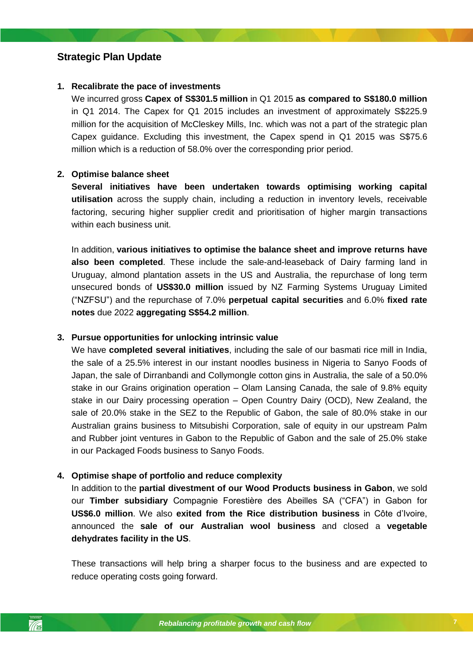## <span id="page-6-0"></span>**Strategic Plan Update**

### **1. Recalibrate the pace of investments**

We incurred gross **Capex of S\$301.5 million** in Q1 2015 **as compared to S\$180.0 million**  in Q1 2014. The Capex for Q1 2015 includes an investment of approximately S\$225.9 million for the acquisition of McCleskey Mills, Inc. which was not a part of the strategic plan Capex guidance. Excluding this investment, the Capex spend in Q1 2015 was S\$75.6 million which is a reduction of 58.0% over the corresponding prior period.

### **2. Optimise balance sheet**

**Several initiatives have been undertaken towards optimising working capital utilisation** across the supply chain, including a reduction in inventory levels, receivable factoring, securing higher supplier credit and prioritisation of higher margin transactions within each business unit.

In addition, **various initiatives to optimise the balance sheet and improve returns have also been completed**. These include the sale-and-leaseback of Dairy farming land in Uruguay, almond plantation assets in the US and Australia, the repurchase of long term unsecured bonds of **US\$30.0 million** issued by NZ Farming Systems Uruguay Limited ("NZFSU") and the repurchase of 7.0% **perpetual capital securities** and 6.0% **fixed rate notes** due 2022 **aggregating S\$54.2 million**.

### **3. Pursue opportunities for unlocking intrinsic value**

Japan, the sale of Dirranbandi and Collymongle cotton gins in Australia, the sale of a 50.0% We have **completed several initiatives**, including the sale of our basmati rice mill in India, the sale of a 25.5% interest in our instant noodles business in Nigeria to Sanyo Foods of stake in our Grains origination operation – Olam Lansing Canada, the sale of 9.8% equity stake in our Dairy processing operation – Open Country Dairy (OCD), New Zealand, the sale of 20.0% stake in the SEZ to the Republic of Gabon, the sale of 80.0% stake in our Australian grains business to Mitsubishi Corporation, sale of equity in our upstream Palm and Rubber joint ventures in Gabon to the Republic of Gabon and the sale of 25.0% stake in our Packaged Foods business to Sanyo Foods.

### **4. Optimise shape of portfolio and reduce complexity**

In addition to the **partial divestment of our Wood Products business in Gabon**, we sold our **Timber subsidiary** Compagnie Forestière des Abeilles SA ("CFA") in Gabon for **US\$6.0 million**. We also **exited from the Rice distribution business** in Côte d'Ivoire, announced the **sale of our Australian wool business** and closed a **vegetable dehydrates facility in the US**.

These transactions will help bring a sharper focus to the business and are expected to reduce operating costs going forward.

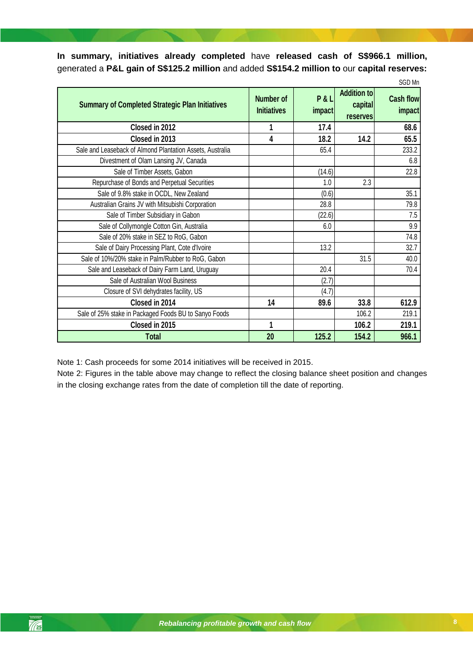**In summary, initiatives already completed** have **released cash of S\$966.1 million,**  generated a **P&L gain of S\$125.2 million** and added **S\$154.2 million to** our **capital reserves:**

|                                                           |                                 |               |                                                  | SGD Mn                            |
|-----------------------------------------------------------|---------------------------------|---------------|--------------------------------------------------|-----------------------------------|
| <b>Summary of Completed Strategic Plan Initiatives</b>    | Number of<br><b>Initiatives</b> | P&L<br>impact | <b>Addition to</b><br>capital<br><b>reserves</b> | <b>Cash flow</b><br><i>impact</i> |
| Closed in 2012                                            |                                 | 17.4          |                                                  | 68.6                              |
| Closed in 2013                                            | 4                               | 18.2          | 14.2                                             | 65.5                              |
| Sale and Leaseback of Almond Plantation Assets, Australia |                                 | 65.4          |                                                  | 233.2                             |
| Divestment of Olam Lansing JV, Canada                     |                                 |               |                                                  | 6.8                               |
| Sale of Timber Assets, Gabon                              |                                 | (14.6)        |                                                  | 22.8                              |
| Repurchase of Bonds and Perpetual Securities              |                                 | 1.0           | 2.3                                              |                                   |
| Sale of 9.8% stake in OCDL, New Zealand                   |                                 | (0.6)         |                                                  | 35.1                              |
| Australian Grains JV with Mitsubishi Corporation          |                                 | 28.8          |                                                  | 79.8                              |
| Sale of Timber Subsidiary in Gabon                        |                                 | (22.6)        |                                                  | 7.5                               |
| Sale of Collymongle Cotton Gin, Australia                 |                                 | 6.0           |                                                  | 9.9                               |
| Sale of 20% stake in SEZ to RoG, Gabon                    |                                 |               |                                                  | 74.8                              |
| Sale of Dairy Processing Plant, Cote d'Ivoire             |                                 | 13.2          |                                                  | 32.7                              |
| Sale of 10%/20% stake in Palm/Rubber to RoG, Gabon        |                                 |               | 31.5                                             | 40.0                              |
| Sale and Leaseback of Dairy Farm Land, Uruguay            |                                 | 20.4          |                                                  | 70.4                              |
| Sale of Australian Wool Business                          |                                 | (2.7)         |                                                  |                                   |
| Closure of SVI dehydrates facility, US                    |                                 | (4.7)         |                                                  |                                   |
| Closed in 2014                                            | 14                              | 89.6          | 33.8                                             | 612.9                             |
| Sale of 25% stake in Packaged Foods BU to Sanyo Foods     |                                 |               | 106.2                                            | 219.1                             |
| Closed in 2015                                            | 1                               |               | 106.2                                            | 219.1                             |
| <b>Total</b>                                              | 20                              | 125.2         | 154.2                                            | 966.1                             |

Note 1: Cash proceeds for some 2014 initiatives will be received in 2015.

Note 2: Figures in the table above may change to reflect the closing balance sheet position and changes in the closing exchange rates from the date of completion till the date of reporting.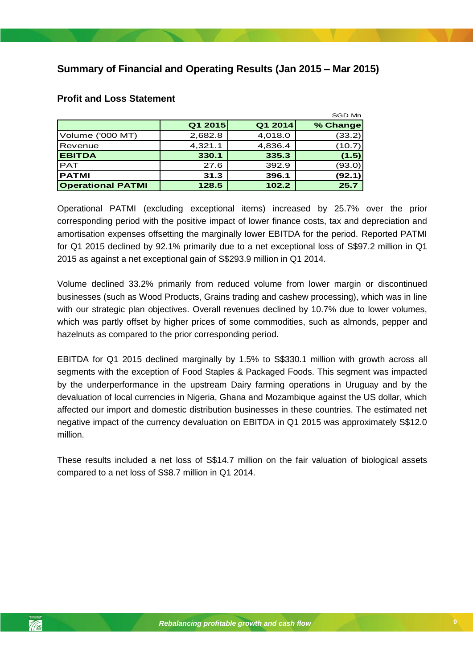# <span id="page-8-0"></span>**Summary of Financial and Operating Results (Jan 2015 – Mar 2015)**

|                          |         |         | SGD Mn   |
|--------------------------|---------|---------|----------|
|                          | Q1 2015 | Q1 2014 | % Change |
| Volume ('000 MT)         | 2,682.8 | 4,018.0 | (33.2)   |
| <b>I</b> Revenue         | 4,321.1 | 4,836.4 | (10.7)   |
| <b>EBITDA</b>            | 330.1   | 335.3   | (1.5)    |
| <b>IPAT</b>              | 27.6    | 392.9   | (93.0)   |
| <b>IPATMI</b>            | 31.3    | 396.1   | (92.1)   |
| <b>Operational PATMI</b> | 128.5   | 102.2   | 25.7     |

### <span id="page-8-1"></span>**Profit and Loss Statement**

Operational PATMI (excluding exceptional items) increased by 25.7% over the prior corresponding period with the positive impact of lower finance costs, tax and depreciation and amortisation expenses offsetting the marginally lower EBITDA for the period. Reported PATMI for Q1 2015 declined by 92.1% primarily due to a net exceptional loss of S\$97.2 million in Q1 2015 as against a net exceptional gain of S\$293.9 million in Q1 2014.

Volume declined 33.2% primarily from reduced volume from lower margin or discontinued businesses (such as Wood Products, Grains trading and cashew processing), which was in line with our strategic plan objectives. Overall revenues declined by 10.7% due to lower volumes, which was partly offset by higher prices of some commodities, such as almonds, pepper and hazelnuts as compared to the prior corresponding period.

segments with the exception of Food Staples & Packaged Foods. This segment was impacted EBITDA for Q1 2015 declined marginally by 1.5% to S\$330.1 million with growth across all by the underperformance in the upstream Dairy farming operations in Uruguay and by the devaluation of local currencies in Nigeria, Ghana and Mozambique against the US dollar, which affected our import and domestic distribution businesses in these countries. The estimated net negative impact of the currency devaluation on EBITDA in Q1 2015 was approximately S\$12.0 million.

These results included a net loss of S\$14.7 million on the fair valuation of biological assets compared to a net loss of S\$8.7 million in Q1 2014.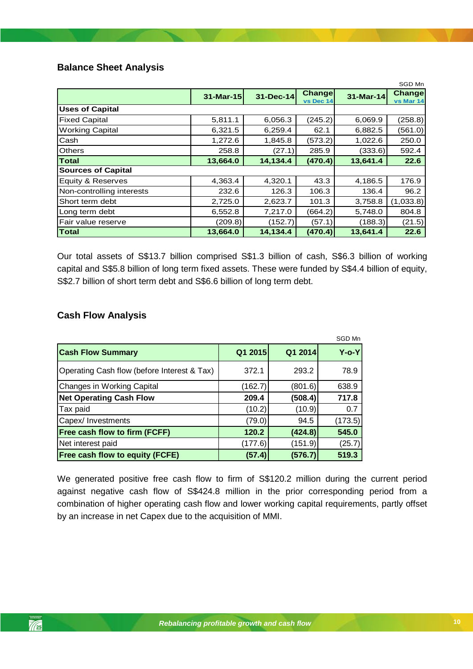### <span id="page-9-0"></span>**Balance Sheet Analysis**

|                           |           |           |                            |           | SGD Mn              |
|---------------------------|-----------|-----------|----------------------------|-----------|---------------------|
|                           | 31-Mar-15 | 31-Dec-14 | <b>Change</b><br>vs Dec 14 | 31-Mar-14 | Change<br>vs Mar 14 |
| <b>Uses of Capital</b>    |           |           |                            |           |                     |
| <b>Fixed Capital</b>      | 5,811.1   | 6,056.3   | (245.2)                    | 6,069.9   | (258.8)             |
| <b>Working Capital</b>    | 6,321.5   | 6,259.4   | 62.1                       | 6,882.5   | (561.0)             |
| Cash                      | 1,272.6   | 1,845.8   | (573.2)                    | 1,022.6   | 250.0               |
| <b>Others</b>             | 258.8     | (27.1)    | 285.9                      | (333.6)   | 592.4               |
| <b>Total</b>              | 13,664.0  | 14,134.4  | (470.4)                    | 13,641.4  | 22.6                |
| <b>Sources of Capital</b> |           |           |                            |           |                     |
| Equity & Reserves         | 4,363.4   | 4,320.1   | 43.3                       | 4,186.5   | 176.9               |
| Non-controlling interests | 232.6     | 126.3     | 106.3                      | 136.4     | 96.2                |
| Short term debt           | 2,725.0   | 2,623.7   | 101.3                      | 3,758.8   | (1,033.8)           |
| Long term debt            | 6,552.8   | 7,217.0   | (664.2)                    | 5,748.0   | 804.8               |
| Fair value reserve        | (209.8)   | (152.7)   | (57.1)                     | (188.3)   | (21.5)              |
| Total                     | 13,664.0  | 14,134.4  | (470.4)                    | 13,641.4  | 22.6                |

Our total assets of S\$13.7 billion comprised S\$1.3 billion of cash, S\$6.3 billion of working capital and S\$5.8 billion of long term fixed assets. These were funded by S\$4.4 billion of equity, S\$2.7 billion of short term debt and S\$6.6 billion of long term debt.

### <span id="page-9-1"></span>**Cash Flow Analysis**

|                                             |         |         | SGD Mn      |
|---------------------------------------------|---------|---------|-------------|
| <b>Cash Flow Summary</b>                    | Q1 2015 | Q1 2014 | $Y$ -o- $Y$ |
| Operating Cash flow (before Interest & Tax) | 372.1   | 293.2   | 78.9        |
| Changes in Working Capital                  | (162.7) | (801.6) | 638.9       |
| <b>Net Operating Cash Flow</b>              | 209.4   | (508.4) | 717.8       |
| Tax paid                                    | (10.2)  | (10.9)  | 0.7         |
| Capex/ Investments                          | (79.0)  | 94.5    | (173.5)     |
| <b>Free cash flow to firm (FCFF)</b>        | 120.2   | (424.8) | 545.0       |
| Net interest paid                           | (177.6) | (151.9) | (25.7)      |
| <b>Free cash flow to equity (FCFE)</b>      | (57.4)  | (576.7) | 519.3       |

We generated positive free cash flow to firm of S\$120.2 million during the current period against negative cash flow of S\$424.8 million in the prior corresponding period from a combination of higher operating cash flow and lower working capital requirements, partly offset by an increase in net Capex due to the acquisition of MMI.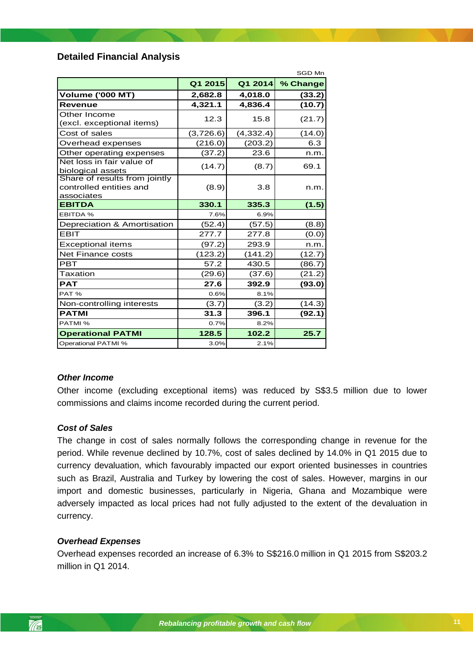### <span id="page-10-0"></span>**Detailed Financial Analysis**

|                                                                        |           |            | SGD Mn   |
|------------------------------------------------------------------------|-----------|------------|----------|
|                                                                        | Q1 2015   | Q1 2014    | % Change |
| <b>Volume ('000 MT)</b>                                                | 2,682.8   | 4,018.0    | (33.2)   |
| <b>Revenue</b>                                                         | 4,321.1   | 4,836.4    | (10.7)   |
| Other Income<br>(excl. exceptional items)                              | 12.3      | 15.8       | (21.7)   |
| Cost of sales                                                          | (3,726.6) | (4, 332.4) | (14.0)   |
| Overhead expenses                                                      | (216.0)   | (203.2)    | 6.3      |
| Other operating expenses                                               | (37.2)    | 23.6       | n.m.     |
| Net loss in fair value of<br>biological assets                         | (14.7)    | (8.7)      | 69.1     |
| Share of results from jointly<br>controlled entities and<br>associates | (8.9)     | 3.8        | n.m.     |
| <b>EBITDA</b>                                                          | 330.1     | 335.3      | (1.5)    |
| <b>EBITDA %</b>                                                        | 7.6%      | 6.9%       |          |
| Depreciation & Amortisation                                            | (52.4)    | (57.5)     | (8.8)    |
| <b>EBIT</b>                                                            | 277.7     | 277.8      | (0.0)    |
| <b>Exceptional items</b>                                               | (97.2)    | 293.9      | n.m.     |
| Net Finance costs                                                      | (123.2)   | (141.2)    | (12.7)   |
| <b>PBT</b>                                                             | 57.2      | 430.5      | (86.7)   |
| Taxation                                                               | (29.6)    | (37.6)     | (21.2)   |
| <b>PAT</b>                                                             | 27.6      | 392.9      | (93.0)   |
| PAT%                                                                   | 0.6%      | 8.1%       |          |
| Non-controlling interests                                              | (3.7)     | (3.2)      | (14.3)   |
| <b>PATMI</b>                                                           | 31.3      | 396.1      | (92.1)   |
| PATMI %                                                                | 0.7%      | 8.2%       |          |
| <b>Operational PATMI</b>                                               | 128.5     | 102.2      | 25.7     |
| <b>Operational PATMI %</b>                                             | 3.0%      | 2.1%       |          |

#### *Other Income*

Other income (excluding exceptional items) was reduced by S\$3.5 million due to lower commissions and claims income recorded during the current period.

#### *Cost of Sales*

The change in cost of sales normally follows the corresponding change in revenue for the period. While revenue declined by 10.7%, cost of sales declined by 14.0% in Q1 2015 due to currency devaluation, which favourably impacted our export oriented businesses in countries such as Brazil, Australia and Turkey by lowering the cost of sales. However, margins in our import and domestic businesses, particularly in Nigeria, Ghana and Mozambique were adversely impacted as local prices had not fully adjusted to the extent of the devaluation in currency.

### *Overhead Expenses*

Overhead expenses recorded an increase of 6.3% to S\$216.0 million in Q1 2015 from S\$203.2 million in Q1 2014.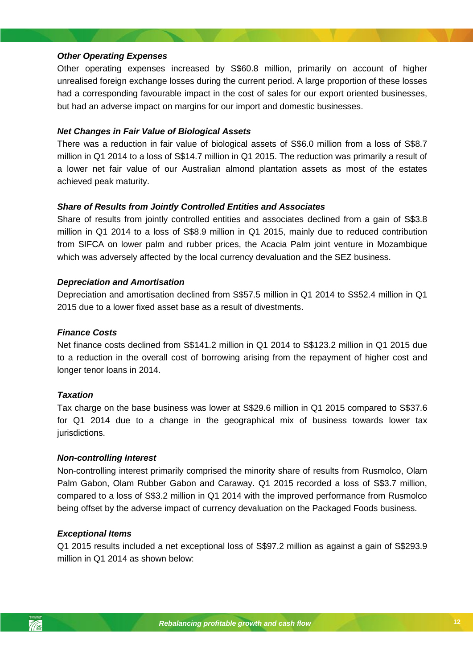### *Other Operating Expenses*

Other operating expenses increased by S\$60.8 million, primarily on account of higher unrealised foreign exchange losses during the current period. A large proportion of these losses had a corresponding favourable impact in the cost of sales for our export oriented businesses, but had an adverse impact on margins for our import and domestic businesses.

#### *Net Changes in Fair Value of Biological Assets*

There was a reduction in fair value of biological assets of S\$6.0 million from a loss of S\$8.7 million in Q1 2014 to a loss of S\$14.7 million in Q1 2015. The reduction was primarily a result of a lower net fair value of our Australian almond plantation assets as most of the estates achieved peak maturity.

### *Share of Results from Jointly Controlled Entities and Associates*

Share of results from jointly controlled entities and associates declined from a gain of S\$3.8 million in Q1 2014 to a loss of S\$8.9 million in Q1 2015, mainly due to reduced contribution from SIFCA on lower palm and rubber prices, the Acacia Palm joint venture in Mozambique which was adversely affected by the local currency devaluation and the SEZ business.

#### *Depreciation and Amortisation*

Depreciation and amortisation declined from S\$57.5 million in Q1 2014 to S\$52.4 million in Q1 2015 due to a lower fixed asset base as a result of divestments.

#### *Finance Costs*

longer tenor loans in 2014. Net finance costs declined from S\$141.2 million in Q1 2014 to S\$123.2 million in Q1 2015 due to a reduction in the overall cost of borrowing arising from the repayment of higher cost and

### *Taxation*

Tax charge on the base business was lower at S\$29.6 million in Q1 2015 compared to S\$37.6 for Q1 2014 due to a change in the geographical mix of business towards lower tax jurisdictions.

#### *Non-controlling Interest*

Non-controlling interest primarily comprised the minority share of results from Rusmolco, Olam Palm Gabon, Olam Rubber Gabon and Caraway. Q1 2015 recorded a loss of S\$3.7 million, compared to a loss of S\$3.2 million in Q1 2014 with the improved performance from Rusmolco being offset by the adverse impact of currency devaluation on the Packaged Foods business.

#### *Exceptional Items*

Q1 2015 results included a net exceptional loss of S\$97.2 million as against a gain of S\$293.9 million in Q1 2014 as shown below:

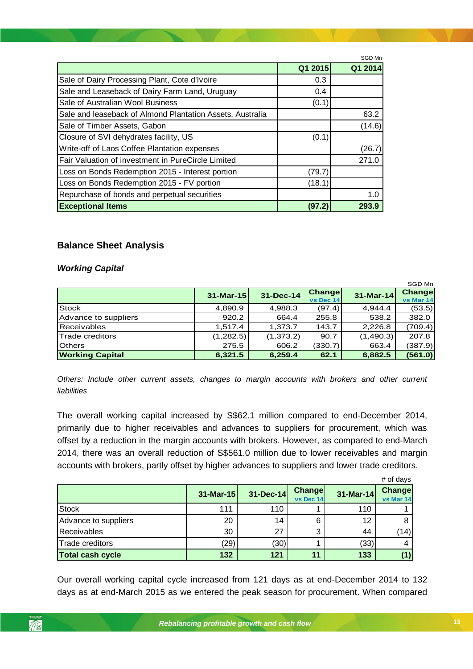|                                                           |         | SGD Mn  |
|-----------------------------------------------------------|---------|---------|
|                                                           | Q1 2015 | Q1 2014 |
| Sale of Dairy Processing Plant, Cote d'Ivoire             | 0.3     |         |
| Sale and Leaseback of Dairy Farm Land, Uruguay            | 0.4     |         |
| Sale of Australian Wool Business                          | (0.1)   |         |
| Sale and leaseback of Almond Plantation Assets, Australia |         | 63.2    |
| Sale of Timber Assets, Gabon                              |         | (14.6)  |
| Closure of SVI dehydrates facility, US                    | (0.1)   |         |
| Write-off of Laos Coffee Plantation expenses              |         | (26.7)  |
| Fair Valuation of investment in PureCircle Limited        |         | 271.0   |
| Loss on Bonds Redemption 2015 - Interest portion          | (79.7)  |         |
| Loss on Bonds Redemption 2015 - FV portion                | (18.1)  |         |
| Repurchase of bonds and perpetual securities              |         | 1.0     |
| <b>Exceptional Items</b>                                  | (97.2   | 293.9   |

### **Balance Sheet Analysis**

### *Working Capital*

|                        |              |            |                     |             | SGD Mn              |
|------------------------|--------------|------------|---------------------|-------------|---------------------|
|                        | $31$ -Mar-15 | 31-Dec-14  | Change<br>vs Dec 14 | $31-Mar-14$ | Change<br>vs Mar 14 |
| <b>Stock</b>           | 4,890.9      | 4,988.3    | (97.4)              | 4,944.4     | (53.5)              |
| Advance to suppliers   | 920.2        | 664.4      | 255.8               | 538.2       | 382.0               |
| <b>Receivables</b>     | 1.517.4      | 1,373.7    | 143.7               | 2,226.8     | (709.4)             |
| Trade creditors        | (1,282.5)    | (1, 373.2) | 90.7                | (1,490.3)   | 207.8               |
| <b>Others</b>          | 275.5        | 606.2      | (330.7)             | 663.4       | (387.9)             |
| <b>Working Capital</b> | 6,321.5      | 6,259.4    | 62.1                | 6,882.5     | (561.0)             |

*Others: Include other current assets, changes to margin accounts with brokers and other current liabilities*

The overall working capital increased by S\$62.1 million compared to end-December 2014, primarily due to higher receivables and advances to suppliers for procurement, which was offset by a reduction in the margin accounts with brokers. However, as compared to end-March 2014, there was an overall reduction of S\$561.0 million due to lower receivables and margin accounts with brokers, partly offset by higher advances to suppliers and lower trade creditors.

|                         |           |           |                     |           | # of days                  |
|-------------------------|-----------|-----------|---------------------|-----------|----------------------------|
|                         | 31-Mar-15 | 31-Dec-14 | Change<br>vs Dec 14 | 31-Mar-14 | <b>Change</b><br>vs Mar 14 |
| <b>Stock</b>            | 111       | 110       |                     | 110       |                            |
| Advance to suppliers    | 20        | 14        |                     | 12        |                            |
| Receivables             | 30        | 27        | ົ                   | 44        | (14)                       |
| Trade creditors         | (29)      | (30)      |                     | (33)      | 4                          |
| <b>Total cash cycle</b> | 132       | 121       | 11                  | 133       | (1)                        |

Our overall working capital cycle increased from 121 days as at end-December 2014 to 132 days as at end-March 2015 as we entered the peak season for procurement. When compared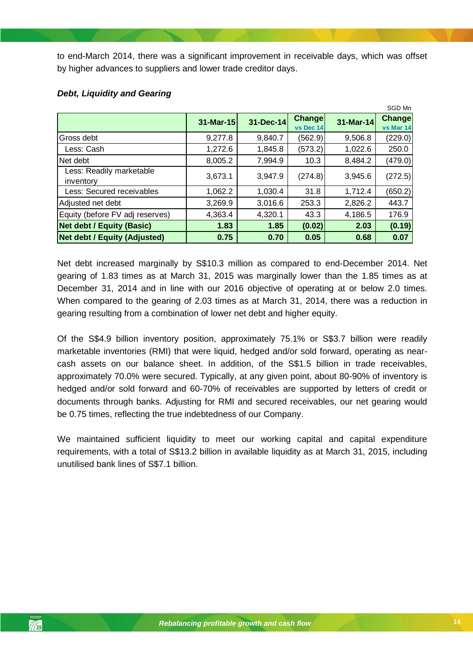to end-March 2014, there was a significant improvement in receivable days, which was offset by higher advances to suppliers and lower trade creditor days.

|                                       |           |           |                            |           | SGD Mn              |
|---------------------------------------|-----------|-----------|----------------------------|-----------|---------------------|
|                                       | 31-Mar-15 | 31-Dec-14 | <b>Change</b><br>vs Dec 14 | 31-Mar-14 | Change<br>vs Mar 14 |
| Gross debt                            | 9,277.8   | 9,840.7   | (562.9)                    | 9,506.8   | (229.0)             |
| Less: Cash                            | 1,272.6   | 1,845.8   | (573.2)                    | 1,022.6   | 250.0               |
| Net debt                              | 8,005.2   | 7,994.9   | 10.3                       | 8,484.2   | (479.0)             |
| Less: Readily marketable<br>inventory | 3,673.1   | 3,947.9   | (274.8)                    | 3,945.6   | (272.5)             |
| Less: Secured receivables             | 1,062.2   | 1,030.4   | 31.8                       | 1,712.4   | (650.2)             |
| Adjusted net debt                     | 3,269.9   | 3,016.6   | 253.3                      | 2,826.2   | 443.7               |
| Equity (before FV adj reserves)       | 4,363.4   | 4,320.1   | 43.3                       | 4,186.5   | 176.9               |
| <b>Net debt / Equity (Basic)</b>      | 1.83      | 1.85      | (0.02)                     | 2.03      | (0.19)              |
| <b>Net debt / Equity (Adjusted)</b>   | 0.75      | 0.70      | 0.05                       | 0.68      | 0.07                |

#### *Debt, Liquidity and Gearing*

Net debt increased marginally by S\$10.3 million as compared to end-December 2014. Net gearing of 1.83 times as at March 31, 2015 was marginally lower than the 1.85 times as at December 31, 2014 and in line with our 2016 objective of operating at or below 2.0 times. When compared to the gearing of 2.03 times as at March 31, 2014, there was a reduction in gearing resulting from a combination of lower net debt and higher equity.

*Rebalancing profitable growth and cash flow* approximately 70.0% were secured. Typically, at any given point, about 80-90% of inventory is Of the S\$4.9 billion inventory position, approximately 75.1% or S\$3.7 billion were readily marketable inventories (RMI) that were liquid, hedged and/or sold forward, operating as nearcash assets on our balance sheet. In addition, of the S\$1.5 billion in trade receivables, hedged and/or sold forward and 60-70% of receivables are supported by letters of credit or documents through banks. Adjusting for RMI and secured receivables, our net gearing would be 0.75 times, reflecting the true indebtedness of our Company.

We maintained sufficient liquidity to meet our working capital and capital expenditure requirements, with a total of S\$13.2 billion in available liquidity as at March 31, 2015, including unutilised bank lines of S\$7.1 billion.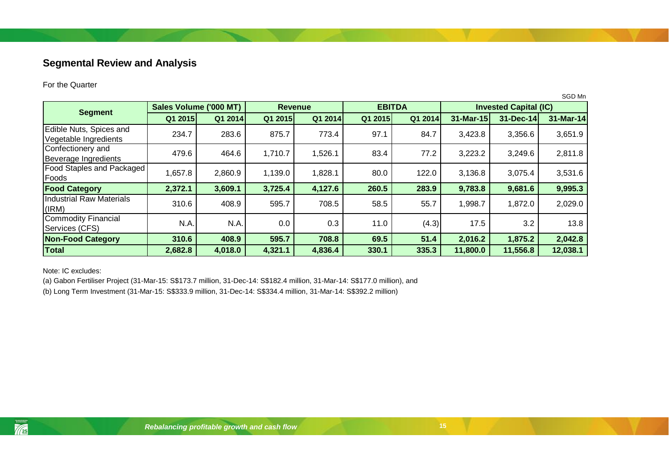# **Segmental Review and Analysis**

#### For the Quarter

|                                                  |                        |                |         |               |         |         |                              |           | SGD Mn    |
|--------------------------------------------------|------------------------|----------------|---------|---------------|---------|---------|------------------------------|-----------|-----------|
|                                                  | Sales Volume ('000 MT) | <b>Revenue</b> |         | <b>EBITDA</b> |         |         | <b>Invested Capital (IC)</b> |           |           |
| <b>Segment</b>                                   | Q1 2015                | Q1 2014        | Q1 2015 | Q1 2014       | Q1 2015 | Q1 2014 | 31-Mar-15                    | 31-Dec-14 | 31-Mar-14 |
| Edible Nuts, Spices and<br>Vegetable Ingredients | 234.7                  | 283.6          | 875.7   | 773.4         | 97.1    | 84.7    | 3,423.8                      | 3,356.6   | 3,651.9   |
| Confectionery and<br>Beverage Ingredients        | 479.6                  | 464.6          | 1,710.7 | 1,526.1       | 83.4    | 77.2    | 3,223.2                      | 3,249.6   | 2,811.8   |
| <b>Food Staples and Packaged</b><br>Foods        | 1,657.8                | 2,860.9        | 1,139.0 | 1,828.1       | 80.0    | 122.0   | 3,136.8                      | 3,075.4   | 3,531.6   |
| <b>Food Category</b>                             | 2,372.1                | 3,609.1        | 3,725.4 | 4,127.6       | 260.5   | 283.9   | 9,783.8                      | 9,681.6   | 9,995.3   |
| Industrial Raw Materials<br>(IRM)                | 310.6                  | 408.9          | 595.7   | 708.5         | 58.5    | 55.7    | 1,998.7                      | 1,872.0   | 2,029.0   |
| Commodity Financial<br>Services (CFS)            | N.A.                   | N.A.           | 0.0     | 0.3           | 11.0    | (4.3)   | 17.5                         | 3.2       | 13.8      |
| <b>Non-Food Category</b>                         | 310.6                  | 408.9          | 595.7   | 708.8         | 69.5    | 51.4    | 2,016.2                      | 1,875.2   | 2,042.8   |
| Total                                            | 2,682.8                | 4,018.0        | 4,321.1 | 4,836.4       | 330.1   | 335.3   | 11,800.0                     | 11,556.8  | 12,038.1  |

<span id="page-14-0"></span>Note: IC excludes:

(a) Gabon Fertiliser Project (31-Mar-15: S\$173.7 million, 31-Dec-14: S\$182.4 million, 31-Mar-14: S\$177.0 million), and

(b) Long Term Investment (31-Mar-15: S\$333.9 million, 31-Dec-14: S\$334.4 million, 31-Mar-14: S\$392.2 million)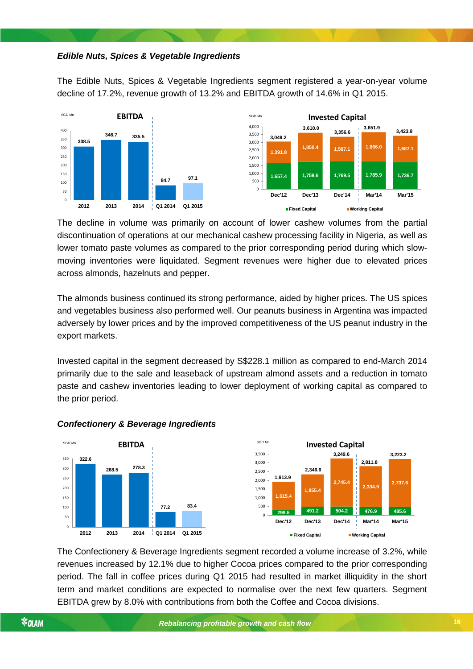#### *Edible Nuts, Spices & Vegetable Ingredients*

The Edible Nuts, Spices & Vegetable Ingredients segment registered a year-on-year volume decline of 17.2%, revenue growth of 13.2% and EBITDA growth of 14.6% in Q1 2015.



The decline in volume was primarily on account of lower cashew volumes from the partial discontinuation of operations at our mechanical cashew processing facility in Nigeria, as well as lower tomato paste volumes as compared to the prior corresponding period during which slowmoving inventories were liquidated. Segment revenues were higher due to elevated prices across almonds, hazelnuts and pepper.

The almonds business continued its strong performance, aided by higher prices. The US spices and vegetables business also performed well. Our peanuts business in Argentina was impacted adversely by lower prices and by the improved competitiveness of the US peanut industry in the export markets.

Invested capital in the segment decreased by S\$228.1 million as compared to end-March 2014 primarily due to the sale and leaseback of upstream almond assets and a reduction in tomato paste and cashew inventories leading to lower deployment of working capital as compared to the prior period.



### *Rebalancing profitable growth and cash flow Confectionery & Beverage Ingredients*

The Confectionery & Beverage Ingredients segment recorded a volume increase of 3.2%, while revenues increased by 12.1% due to higher Cocoa prices compared to the prior corresponding period. The fall in coffee prices during Q1 2015 had resulted in market illiquidity in the short term and market conditions are expected to normalise over the next few quarters. Segment EBITDA grew by 8.0% with contributions from both the Coffee and Cocoa divisions.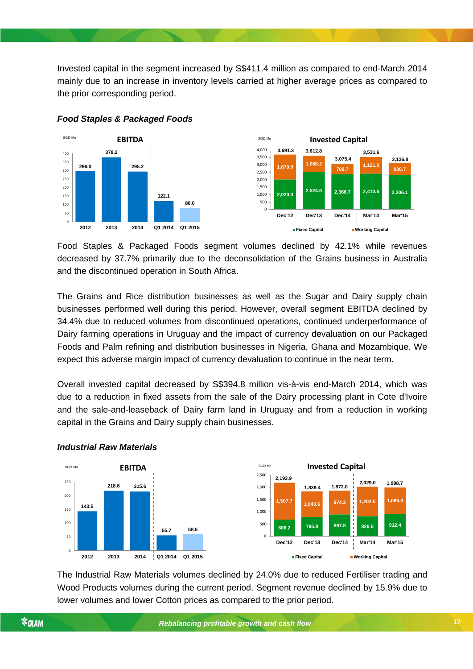Invested capital in the segment increased by S\$411.4 million as compared to end-March 2014 mainly due to an increase in inventory levels carried at higher average prices as compared to the prior corresponding period.



### *Food Staples & Packaged Foods*

Food Staples & Packaged Foods segment volumes declined by 42.1% while revenues decreased by 37.7% primarily due to the deconsolidation of the Grains business in Australia and the discontinued operation in South Africa.

The Grains and Rice distribution businesses as well as the Sugar and Dairy supply chain businesses performed well during this period. However, overall segment EBITDA declined by 34.4% due to reduced volumes from discontinued operations, continued underperformance of Dairy farming operations in Uruguay and the impact of currency devaluation on our Packaged Foods and Palm refining and distribution businesses in Nigeria, Ghana and Mozambique. We expect this adverse margin impact of currency devaluation to continue in the near term.

*Rebalancing profitable growth and cash flow* capital in the Grains and Dairy supply chain businesses. Overall invested capital decreased by S\$394.8 million vis-à-vis end-March 2014, which was due to a reduction in fixed assets from the sale of the Dairy processing plant in Cote d'Ivoire and the sale-and-leaseback of Dairy farm land in Uruguay and from a reduction in working



#### *Industrial Raw Materials*

The Industrial Raw Materials volumes declined by 24.0% due to reduced Fertiliser trading and Wood Products volumes during the current period. Segment revenue declined by 15.9% due to lower volumes and lower Cotton prices as compared to the prior period.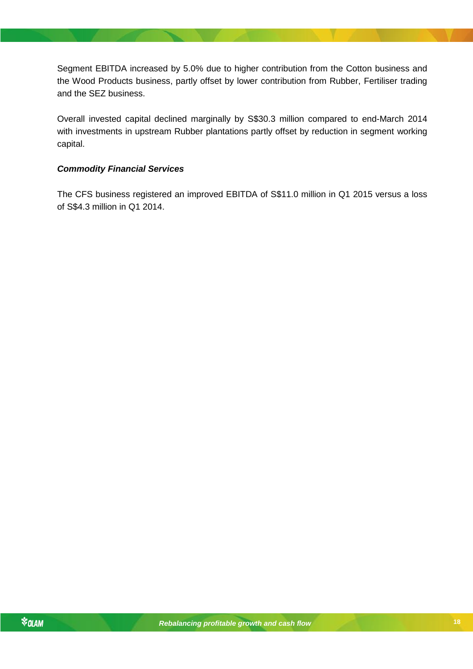Segment EBITDA increased by 5.0% due to higher contribution from the Cotton business and the Wood Products business, partly offset by lower contribution from Rubber, Fertiliser trading and the SEZ business.

Overall invested capital declined marginally by S\$30.3 million compared to end-March 2014 with investments in upstream Rubber plantations partly offset by reduction in segment working capital.

### *Commodity Financial Services*

The CFS business registered an improved EBITDA of S\$11.0 million in Q1 2015 versus a loss of S\$4.3 million in Q1 2014.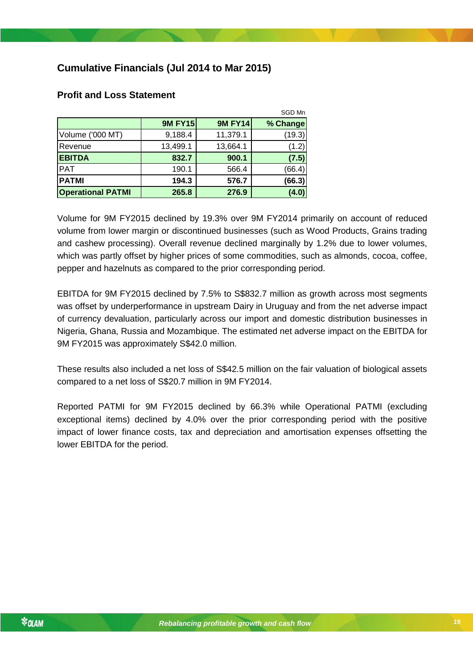# <span id="page-18-0"></span>**Cumulative Financials (Jul 2014 to Mar 2015)**

|                          |                |                | SGD Mn   |
|--------------------------|----------------|----------------|----------|
|                          | <b>9M FY15</b> | <b>9M FY14</b> | % Change |
| Volume ('000 MT)         | 9,188.4        | 11,379.1       | (19.3)   |
| Revenue                  | 13,499.1       | 13,664.1       | (1.2)    |
| <b>EBITDA</b>            | 832.7          | 900.1          | (7.5)    |
| <b>PAT</b>               | 190.1          | 566.4          | (66.4)   |
| <b>PATMI</b>             | 194.3          | 576.7          | (66.3)   |
| <b>Operational PATMI</b> | 265.8          | 276.9          | (4.0)    |

### <span id="page-18-1"></span>**Profit and Loss Statement**

Volume for 9M FY2015 declined by 19.3% over 9M FY2014 primarily on account of reduced volume from lower margin or discontinued businesses (such as Wood Products, Grains trading and cashew processing). Overall revenue declined marginally by 1.2% due to lower volumes, which was partly offset by higher prices of some commodities, such as almonds, cocoa, coffee, pepper and hazelnuts as compared to the prior corresponding period.

EBITDA for 9M FY2015 declined by 7.5% to S\$832.7 million as growth across most segments was offset by underperformance in upstream Dairy in Uruguay and from the net adverse impact of currency devaluation, particularly across our import and domestic distribution businesses in Nigeria, Ghana, Russia and Mozambique. The estimated net adverse impact on the EBITDA for 9M FY2015 was approximately S\$42.0 million.

These results also included a net loss of S\$42.5 million on the fair valuation of biological assets compared to a net loss of S\$20.7 million in 9M FY2014.

impact of lower finance costs, tax and depreciation and amortisation expenses offsetting the Reported PATMI for 9M FY2015 declined by 66.3% while Operational PATMI (excluding exceptional items) declined by 4.0% over the prior corresponding period with the positive lower EBITDA for the period.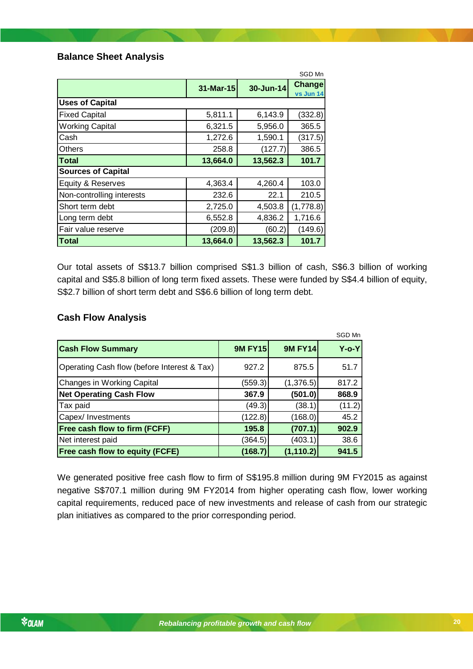### <span id="page-19-0"></span>**Balance Sheet Analysis**

|                           |           |           | SGD Mn              |
|---------------------------|-----------|-----------|---------------------|
|                           | 31-Mar-15 | 30-Jun-14 | Change<br>vs Jun 14 |
| <b>Uses of Capital</b>    |           |           |                     |
| <b>Fixed Capital</b>      | 5,811.1   | 6,143.9   | (332.8)             |
| <b>Working Capital</b>    | 6,321.5   | 5,956.0   | 365.5               |
| Cash                      | 1,272.6   | 1,590.1   | (317.5)             |
| <b>Others</b>             | 258.8     | (127.7)   | 386.5               |
| Total                     | 13,664.0  | 13,562.3  | 101.7               |
| <b>Sources of Capital</b> |           |           |                     |
| Equity & Reserves         | 4,363.4   | 4,260.4   | 103.0               |
| Non-controlling interests | 232.6     | 22.1      | 210.5               |
| Short term debt           | 2,725.0   | 4,503.8   | (1,778.8)           |
| Long term debt            | 6,552.8   | 4,836.2   | 1,716.6             |
| Fair value reserve        | (209.8)   | (60.2)    | (149.6)             |
| <b>Total</b>              | 13,664.0  | 13,562.3  | 101.7               |

Our total assets of S\$13.7 billion comprised S\$1.3 billion of cash, S\$6.3 billion of working capital and S\$5.8 billion of long term fixed assets. These were funded by S\$4.4 billion of equity, S\$2.7 billion of short term debt and S\$6.6 billion of long term debt.

### <span id="page-19-1"></span>**Cash Flow Analysis**

|                                             |                |                | SGD Mn      |
|---------------------------------------------|----------------|----------------|-------------|
| <b>Cash Flow Summary</b>                    | <b>9M FY15</b> | <b>9M FY14</b> | $Y$ -o- $Y$ |
| Operating Cash flow (before Interest & Tax) | 927.2          | 875.5          | 51.7        |
| <b>Changes in Working Capital</b>           | (559.3)        | (1,376.5)      | 817.2       |
| <b>Net Operating Cash Flow</b>              | 367.9          | (501.0)        | 868.9       |
| Tax paid                                    | (49.3)         | (38.1)         | (11.2)      |
| Capex/ Investments                          | (122.8)        | (168.0)        | 45.2        |
| Free cash flow to firm (FCFF)               | 195.8          | (707.1)        | 902.9       |
| Net interest paid                           | (364.5)        | (403.1)        | 38.6        |
| Free cash flow to equity (FCFE)             | (168.7)        | (1, 110.2)     | 941.5       |

We generated positive free cash flow to firm of S\$195.8 million during 9M FY2015 as against negative S\$707.1 million during 9M FY2014 from higher operating cash flow, lower working capital requirements, reduced pace of new investments and release of cash from our strategic plan initiatives as compared to the prior corresponding period.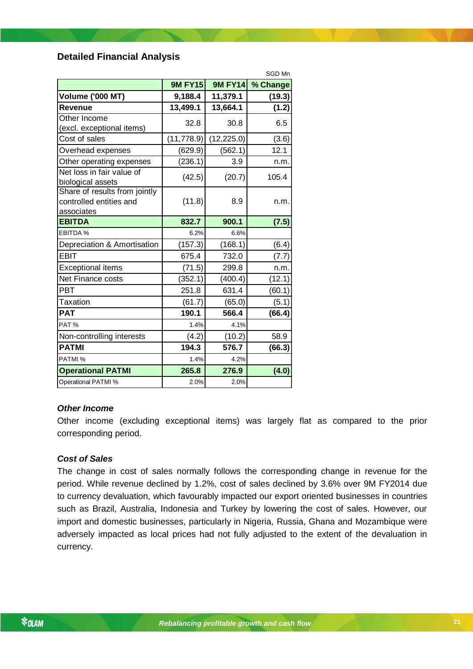### <span id="page-20-0"></span>**Detailed Financial Analysis**

| <b>9M FY15</b><br>9,188.4<br>13,499.1 | <b>9M FY14</b><br>11,379.1 | % Change<br>(19.3)  |
|---------------------------------------|----------------------------|---------------------|
|                                       |                            |                     |
|                                       |                            |                     |
|                                       | 13,664.1                   | (1.2)               |
|                                       |                            | 6.5                 |
|                                       |                            |                     |
|                                       |                            | (3.6)               |
| (629.9)                               | (562.1)                    | 12.1                |
| (236.1)                               | 3.9                        | n.m.                |
| (42.5)                                | (20.7)                     | 105.4               |
| (11.8)                                | 8.9                        | n.m.                |
| 832.7                                 | 900.1                      | (7.5)               |
| 6.2%                                  | 6.6%                       |                     |
| (157.3)                               | (168.1)                    | (6.4)               |
| 675.4                                 | 732.0                      | (7.7)               |
| (71.5)                                | 299.8                      | n.m.                |
| (352.1)                               | (400.4)                    | (12.1)              |
| 251.8                                 | 631.4                      | (60.1)              |
| (61.7)                                | (65.0)                     | (5.1)               |
| 190.1                                 | 566.4                      | (66.4)              |
| 1.4%                                  | 4.1%                       |                     |
| (4.2)                                 | (10.2)                     | 58.9                |
| 194.3                                 | 576.7                      | (66.3)              |
| 1.4%                                  | 4.2%                       |                     |
| 265.8                                 | 276.9                      | (4.0)               |
| 2.0%                                  | 2.0%                       |                     |
|                                       | 32.8<br>(11, 778.9)        | 30.8<br>(12, 225.0) |

#### *Other Income*

Other income (excluding exceptional items) was largely flat as compared to the prior corresponding period.

### *Cost of Sales*

The change in cost of sales normally follows the corresponding change in revenue for the period. While revenue declined by 1.2%, cost of sales declined by 3.6% over 9M FY2014 due to currency devaluation, which favourably impacted our export oriented businesses in countries such as Brazil, Australia, Indonesia and Turkey by lowering the cost of sales. However, our import and domestic businesses, particularly in Nigeria, Russia, Ghana and Mozambique were adversely impacted as local prices had not fully adjusted to the extent of the devaluation in currency.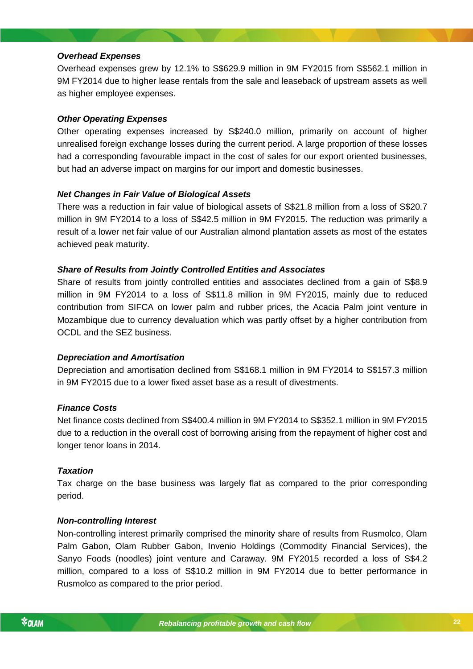### *Overhead Expenses*

Overhead expenses grew by 12.1% to S\$629.9 million in 9M FY2015 from S\$562.1 million in 9M FY2014 due to higher lease rentals from the sale and leaseback of upstream assets as well as higher employee expenses.

### *Other Operating Expenses*

Other operating expenses increased by S\$240.0 million, primarily on account of higher unrealised foreign exchange losses during the current period. A large proportion of these losses had a corresponding favourable impact in the cost of sales for our export oriented businesses, but had an adverse impact on margins for our import and domestic businesses.

### *Net Changes in Fair Value of Biological Assets*

There was a reduction in fair value of biological assets of S\$21.8 million from a loss of S\$20.7 million in 9M FY2014 to a loss of S\$42.5 million in 9M FY2015. The reduction was primarily a result of a lower net fair value of our Australian almond plantation assets as most of the estates achieved peak maturity.

### *Share of Results from Jointly Controlled Entities and Associates*

Share of results from jointly controlled entities and associates declined from a gain of S\$8.9 million in 9M FY2014 to a loss of S\$11.8 million in 9M FY2015, mainly due to reduced contribution from SIFCA on lower palm and rubber prices, the Acacia Palm joint venture in Mozambique due to currency devaluation which was partly offset by a higher contribution from OCDL and the SEZ business.

#### *Depreciation and Amortisation*

Depreciation and amortisation declined from S\$168.1 million in 9M FY2014 to S\$157.3 million in 9M FY2015 due to a lower fixed asset base as a result of divestments.

#### *Finance Costs*

*Rebalancing profitable growth and cash flow* due to a reduction in the overall cost of borrowing arising from the repayment of higher cost and Net finance costs declined from S\$400.4 million in 9M FY2014 to S\$352.1 million in 9M FY2015 longer tenor loans in 2014.

#### *Taxation*

Tax charge on the base business was largely flat as compared to the prior corresponding period.

#### *Non-controlling Interest*

Non-controlling interest primarily comprised the minority share of results from Rusmolco, Olam Palm Gabon, Olam Rubber Gabon, Invenio Holdings (Commodity Financial Services), the Sanyo Foods (noodles) joint venture and Caraway. 9M FY2015 recorded a loss of S\$4.2 million, compared to a loss of S\$10.2 million in 9M FY2014 due to better performance in Rusmolco as compared to the prior period.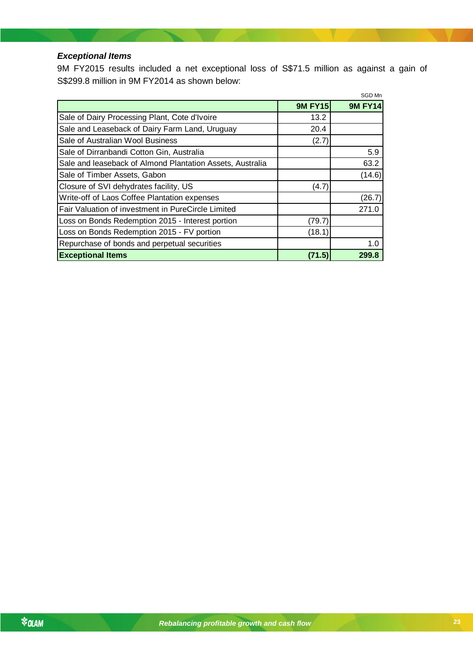### *Exceptional Items*

9M FY2015 results included a net exceptional loss of S\$71.5 million as against a gain of S\$299.8 million in 9M FY2014 as shown below:

|                                                           |                | SGD Mn         |
|-----------------------------------------------------------|----------------|----------------|
|                                                           | <b>9M FY15</b> | <b>9M FY14</b> |
| Sale of Dairy Processing Plant, Cote d'Ivoire             | 13.2           |                |
| Sale and Leaseback of Dairy Farm Land, Uruguay            | 20.4           |                |
| Sale of Australian Wool Business                          | (2.7)          |                |
| Sale of Dirranbandi Cotton Gin, Australia                 |                | 5.9            |
| Sale and leaseback of Almond Plantation Assets, Australia |                | 63.2           |
| Sale of Timber Assets, Gabon                              |                | (14.6)         |
| Closure of SVI dehydrates facility, US                    | (4.7)          |                |
| Write-off of Laos Coffee Plantation expenses              |                | (26.7)         |
| Fair Valuation of investment in PureCircle Limited        |                | 271.0          |
| Loss on Bonds Redemption 2015 - Interest portion          | (79.7)         |                |
| Loss on Bonds Redemption 2015 - FV portion                | (18.1)         |                |
| Repurchase of bonds and perpetual securities              |                | 1.0            |
| <b>Exceptional Items</b>                                  | (71.5)         | 299.8          |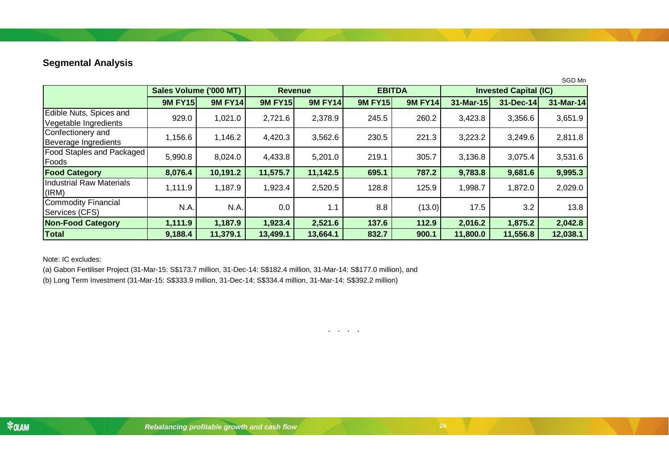# **Segmental Analysis**

|                                                  |                        |                |                |                |                |                |           |                              | SGD Mn    |  |
|--------------------------------------------------|------------------------|----------------|----------------|----------------|----------------|----------------|-----------|------------------------------|-----------|--|
|                                                  | Sales Volume ('000 MT) |                | <b>Revenue</b> |                |                | <b>EBITDA</b>  |           | <b>Invested Capital (IC)</b> |           |  |
|                                                  | <b>9M FY15</b>         | <b>9M FY14</b> | <b>9M FY15</b> | <b>9M FY14</b> | <b>9M FY15</b> | <b>9M FY14</b> | 31-Mar-15 | 31-Dec-14                    | 31-Mar-14 |  |
| Edible Nuts, Spices and<br>Vegetable Ingredients | 929.0                  | 1,021.0        | 2,721.6        | 2,378.9        | 245.5          | 260.2          | 3,423.8   | 3,356.6                      | 3,651.9   |  |
| Confectionery and<br>Beverage Ingredients        | 1,156.6                | 1,146.2        | 4,420.3        | 3,562.6        | 230.5          | 221.3          | 3,223.2   | 3,249.6                      | 2,811.8   |  |
| <b>Food Staples and Packaged</b><br>Foods        | 5,990.8                | 8,024.0        | 4,433.8        | 5,201.0        | 219.1          | 305.7          | 3,136.8   | 3,075.4                      | 3,531.6   |  |
| <b>Food Category</b>                             | 8,076.4                | 10,191.2       | 11,575.7       | 11,142.5       | 695.1          | 787.2          | 9,783.8   | 9,681.6                      | 9,995.3   |  |
| Industrial Raw Materials<br>(IRM)                | 1,111.9                | 1,187.9        | 1,923.4        | 2,520.5        | 128.8          | 125.9          | 1,998.7   | 1,872.0                      | 2,029.0   |  |
| Commodity Financial<br>Services (CFS)            | N.A.                   | N.A.           | 0.0            | 1.1            | 8.8            | (13.0)         | 17.5      | 3.2                          | 13.8      |  |
| <b>Non-Food Category</b>                         | 1,111.9                | 1,187.9        | 1,923.4        | 2,521.6        | 137.6          | 112.9          | 2,016.2   | 1,875.2                      | 2,042.8   |  |
| <b>Total</b>                                     | 9,188.4                | 11,379.1       | 13,499.1       | 13,664.1       | 832.7          | 900.1          | 11,800.0  | 11,556.8                     | 12,038.1  |  |

. . . .

<span id="page-23-0"></span>Note: IC excludes:

(a) Gabon Fertiliser Project (31-Mar-15: S\$173.7 million, 31-Dec-14: S\$182.4 million, 31-Mar-14: S\$177.0 million), and

(b) Long Term Investment (31-Mar-15: S\$333.9 million, 31-Dec-14: S\$334.4 million, 31-Mar-14: S\$392.2 million)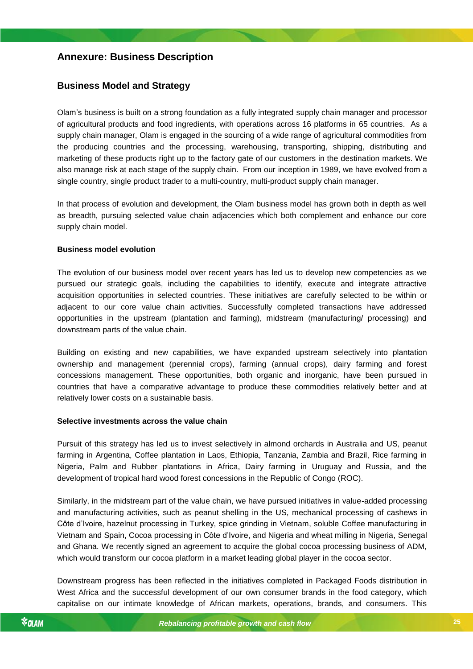## <span id="page-24-0"></span>**Annexure: Business Description**

### <span id="page-24-1"></span>**Business Model and Strategy**

Olam's business is built on a strong foundation as a fully integrated supply chain manager and processor of agricultural products and food ingredients, with operations across 16 platforms in 65 countries. As a supply chain manager, Olam is engaged in the sourcing of a wide range of agricultural commodities from the producing countries and the processing, warehousing, transporting, shipping, distributing and marketing of these products right up to the factory gate of our customers in the destination markets. We also manage risk at each stage of the supply chain. From our inception in 1989, we have evolved from a single country, single product trader to a multi-country, multi-product supply chain manager.

In that process of evolution and development, the Olam business model has grown both in depth as well as breadth, pursuing selected value chain adjacencies which both complement and enhance our core supply chain model.

#### **Business model evolution**

The evolution of our business model over recent years has led us to develop new competencies as we pursued our strategic goals, including the capabilities to identify, execute and integrate attractive acquisition opportunities in selected countries. These initiatives are carefully selected to be within or adjacent to our core value chain activities. Successfully completed transactions have addressed opportunities in the upstream (plantation and farming), midstream (manufacturing/ processing) and downstream parts of the value chain.

Building on existing and new capabilities, we have expanded upstream selectively into plantation ownership and management (perennial crops), farming (annual crops), dairy farming and forest concessions management. These opportunities, both organic and inorganic, have been pursued in countries that have a comparative advantage to produce these commodities relatively better and at relatively lower costs on a sustainable basis.

#### *Rebalancing profitable growth and cash flow* **Selective investments across the value chain**

Pursuit of this strategy has led us to invest selectively in almond orchards in Australia and US, peanut farming in Argentina, Coffee plantation in Laos, Ethiopia, Tanzania, Zambia and Brazil, Rice farming in Nigeria, Palm and Rubber plantations in Africa, Dairy farming in Uruguay and Russia, and the development of tropical hard wood forest concessions in the Republic of Congo (ROC).

Similarly, in the midstream part of the value chain, we have pursued initiatives in value-added processing and manufacturing activities, such as peanut shelling in the US, mechanical processing of cashews in Côte d'Ivoire, hazelnut processing in Turkey, spice grinding in Vietnam, soluble Coffee manufacturing in Vietnam and Spain, Cocoa processing in Côte d'Ivoire, and Nigeria and wheat milling in Nigeria, Senegal and Ghana. We recently signed an agreement to acquire the global cocoa processing business of ADM, which would transform our cocoa platform in a market leading global player in the cocoa sector.

Downstream progress has been reflected in the initiatives completed in Packaged Foods distribution in West Africa and the successful development of our own consumer brands in the food category, which capitalise on our intimate knowledge of African markets, operations, brands, and consumers. This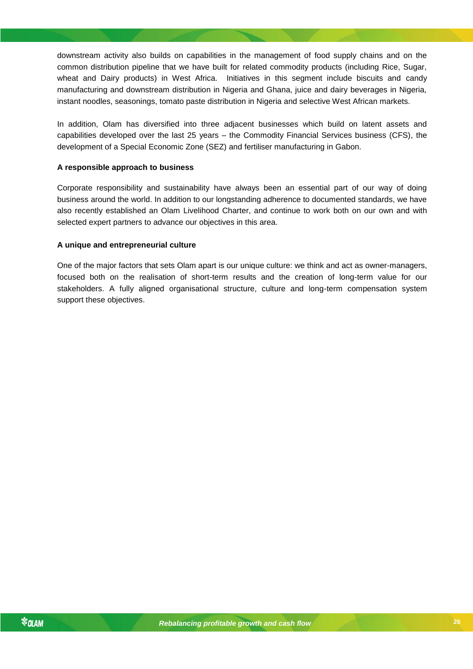downstream activity also builds on capabilities in the management of food supply chains and on the common distribution pipeline that we have built for related commodity products (including Rice, Sugar, wheat and Dairy products) in West Africa. Initiatives in this segment include biscuits and candy manufacturing and downstream distribution in Nigeria and Ghana, juice and dairy beverages in Nigeria, instant noodles, seasonings, tomato paste distribution in Nigeria and selective West African markets.

In addition, Olam has diversified into three adjacent businesses which build on latent assets and capabilities developed over the last 25 years – the Commodity Financial Services business (CFS), the development of a Special Economic Zone (SEZ) and fertiliser manufacturing in Gabon.

#### **A responsible approach to business**

Corporate responsibility and sustainability have always been an essential part of our way of doing business around the world. In addition to our longstanding adherence to documented standards, we have also recently established an Olam Livelihood Charter, and continue to work both on our own and with selected expert partners to advance our objectives in this area.

#### **A unique and entrepreneurial culture**

One of the major factors that sets Olam apart is our unique culture: we think and act as owner-managers, focused both on the realisation of short-term results and the creation of long-term value for our stakeholders. A fully aligned organisational structure, culture and long-term compensation system support these objectives.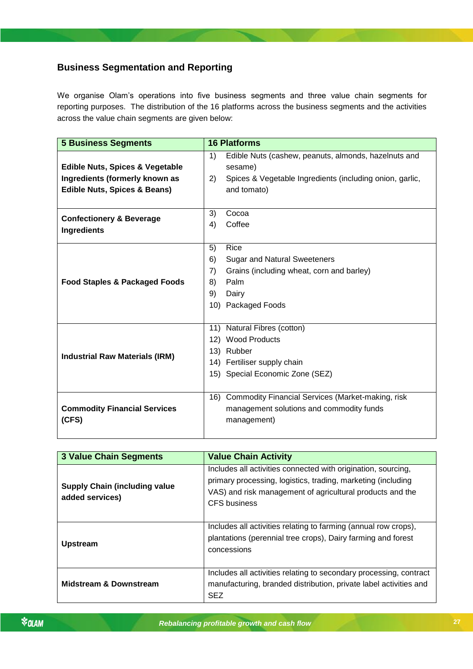# <span id="page-26-0"></span>**Business Segmentation and Reporting**

We organise Olam's operations into five business segments and three value chain segments for reporting purposes. The distribution of the 16 platforms across the business segments and the activities across the value chain segments are given below:

| <b>5 Business Segments</b>                 | <b>16 Platforms</b> |                                                          |  |
|--------------------------------------------|---------------------|----------------------------------------------------------|--|
|                                            | 1)                  | Edible Nuts (cashew, peanuts, almonds, hazelnuts and     |  |
| <b>Edible Nuts, Spices &amp; Vegetable</b> |                     | sesame)                                                  |  |
| Ingredients (formerly known as             | 2)                  | Spices & Vegetable Ingredients (including onion, garlic, |  |
| <b>Edible Nuts, Spices &amp; Beans)</b>    |                     | and tomato)                                              |  |
|                                            |                     |                                                          |  |
|                                            | 3)                  | Cocoa                                                    |  |
| <b>Confectionery &amp; Beverage</b>        | 4)                  | Coffee                                                   |  |
| <b>Ingredients</b>                         |                     |                                                          |  |
|                                            | 5)                  | Rice                                                     |  |
|                                            | 6)                  | <b>Sugar and Natural Sweeteners</b>                      |  |
|                                            | 7)                  | Grains (including wheat, corn and barley)                |  |
| <b>Food Staples &amp; Packaged Foods</b>   | 8)                  | Palm                                                     |  |
|                                            | 9)                  | Dairy                                                    |  |
|                                            |                     | 10) Packaged Foods                                       |  |
|                                            |                     |                                                          |  |
|                                            |                     | 11) Natural Fibres (cotton)                              |  |
|                                            |                     | 12) Wood Products                                        |  |
| <b>Industrial Raw Materials (IRM)</b>      |                     | 13) Rubber                                               |  |
|                                            |                     | 14) Fertiliser supply chain                              |  |
|                                            |                     | 15) Special Economic Zone (SEZ)                          |  |
|                                            |                     |                                                          |  |
|                                            |                     | 16) Commodity Financial Services (Market-making, risk    |  |
| <b>Commodity Financial Services</b>        |                     | management solutions and commodity funds                 |  |
| (CFS)                                      |                     | management)                                              |  |
|                                            |                     |                                                          |  |

| <b>3 Value Chain Segments</b>                           | <b>Value Chain Activity</b>                                                                                                                                                                                       |
|---------------------------------------------------------|-------------------------------------------------------------------------------------------------------------------------------------------------------------------------------------------------------------------|
| <b>Supply Chain (including value</b><br>added services) | Includes all activities connected with origination, sourcing,<br>primary processing, logistics, trading, marketing (including<br>VAS) and risk management of agricultural products and the<br><b>CFS</b> business |
| <b>Upstream</b>                                         | Includes all activities relating to farming (annual row crops),<br>plantations (perennial tree crops), Dairy farming and forest<br>concessions                                                                    |
| <b>Midstream &amp; Downstream</b>                       | Includes all activities relating to secondary processing, contract<br>manufacturing, branded distribution, private label activities and<br><b>SEZ</b>                                                             |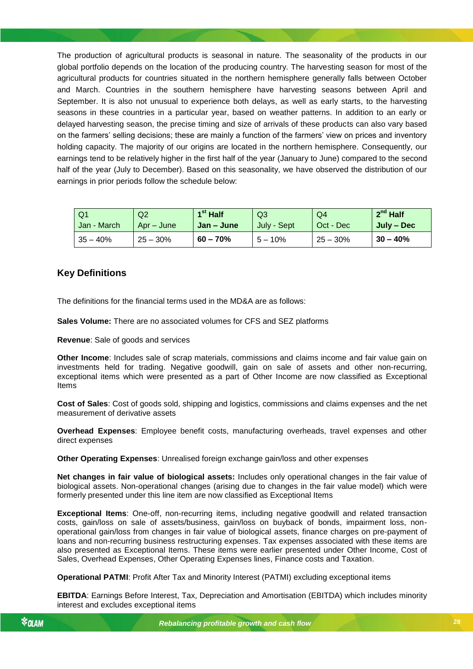The production of agricultural products is seasonal in nature. The seasonality of the products in our global portfolio depends on the location of the producing country. The harvesting season for most of the agricultural products for countries situated in the northern hemisphere generally falls between October and March. Countries in the southern hemisphere have harvesting seasons between April and September. It is also not unusual to experience both delays, as well as early starts, to the harvesting seasons in these countries in a particular year, based on weather patterns. In addition to an early or delayed harvesting season, the precise timing and size of arrivals of these products can also vary based on the farmers' selling decisions; these are mainly a function of the farmers' view on prices and inventory holding capacity. The majority of our origins are located in the northern hemisphere. Consequently, our earnings tend to be relatively higher in the first half of the year (January to June) compared to the second half of the year (July to December). Based on this seasonality, we have observed the distribution of our earnings in prior periods follow the schedule below:

| l Q1        | Q2         | $1st$ Half        | Q3          | Q4         | $2^{nd}$ Half |
|-------------|------------|-------------------|-------------|------------|---------------|
| Jan - March | Apr – June | <b>Jan</b> – June | July - Sept | Oct - Dec  | July – Dec    |
| $35 - 40%$  | $25 - 30%$ | $60 - 70%$        | $5 - 10%$   | $25 - 30%$ | $30 - 40%$    |

### <span id="page-27-0"></span>**Key Definitions**

The definitions for the financial terms used in the MD&A are as follows:

**Sales Volume:** There are no associated volumes for CFS and SEZ platforms

**Revenue**: Sale of goods and services

**Other Income**: Includes sale of scrap materials, commissions and claims income and fair value gain on investments held for trading. Negative goodwill, gain on sale of assets and other non-recurring, exceptional items which were presented as a part of Other Income are now classified as Exceptional Items

**Cost of Sales**: Cost of goods sold, shipping and logistics, commissions and claims expenses and the net measurement of derivative assets

**Overhead Expenses**: Employee benefit costs, manufacturing overheads, travel expenses and other direct expenses

**Other Operating Expenses**: Unrealised foreign exchange gain/loss and other expenses

**Net changes in fair value of biological assets:** Includes only operational changes in the fair value of biological assets. Non-operational changes (arising due to changes in the fair value model) which were formerly presented under this line item are now classified as Exceptional Items

**Exceptional Items**: One-off, non-recurring items, including negative goodwill and related transaction costs, gain/loss on sale of assets/business, gain/loss on buyback of bonds, impairment loss, nonoperational gain/loss from changes in fair value of biological assets, finance charges on pre-payment of loans and non-recurring business restructuring expenses. Tax expenses associated with these items are also presented as Exceptional Items. These items were earlier presented under Other Income, Cost of Sales, Overhead Expenses, Other Operating Expenses lines, Finance costs and Taxation.

**Operational PATMI**: Profit After Tax and Minority Interest (PATMI) excluding exceptional items

**EBITDA**: Earnings Before Interest, Tax, Depreciation and Amortisation (EBITDA) which includes minority interest and excludes exceptional items